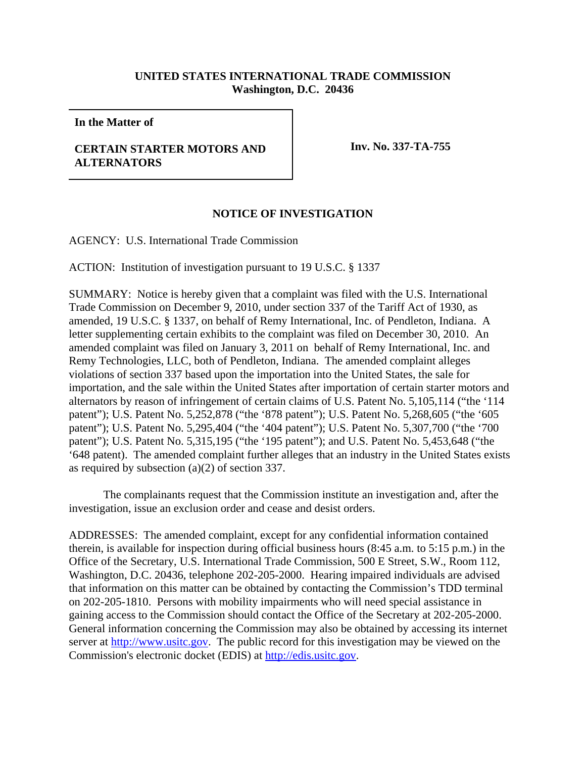## **UNITED STATES INTERNATIONAL TRADE COMMISSION Washington, D.C. 20436**

**In the Matter of**

## **CERTAIN STARTER MOTORS AND ALTERNATORS**

**Inv. No. 337-TA-755**

## **NOTICE OF INVESTIGATION**

AGENCY: U.S. International Trade Commission

ACTION: Institution of investigation pursuant to 19 U.S.C. § 1337

SUMMARY: Notice is hereby given that a complaint was filed with the U.S. International Trade Commission on December 9, 2010, under section 337 of the Tariff Act of 1930, as amended, 19 U.S.C. § 1337, on behalf of Remy International, Inc. of Pendleton, Indiana. A letter supplementing certain exhibits to the complaint was filed on December 30, 2010. An amended complaint was filed on January 3, 2011 on behalf of Remy International, Inc. and Remy Technologies, LLC, both of Pendleton, Indiana. The amended complaint alleges violations of section 337 based upon the importation into the United States, the sale for importation, and the sale within the United States after importation of certain starter motors and alternators by reason of infringement of certain claims of U.S. Patent No. 5,105,114 ("the '114 patent"); U.S. Patent No. 5,252,878 ("the '878 patent"); U.S. Patent No. 5,268,605 ("the '605 patent"); U.S. Patent No. 5,295,404 ("the '404 patent"); U.S. Patent No. 5,307,700 ("the '700 patent"); U.S. Patent No. 5,315,195 ("the '195 patent"); and U.S. Patent No. 5,453,648 ("the '648 patent). The amended complaint further alleges that an industry in the United States exists as required by subsection (a)(2) of section 337.

The complainants request that the Commission institute an investigation and, after the investigation, issue an exclusion order and cease and desist orders.

ADDRESSES: The amended complaint, except for any confidential information contained therein, is available for inspection during official business hours (8:45 a.m. to 5:15 p.m.) in the Office of the Secretary, U.S. International Trade Commission, 500 E Street, S.W., Room 112, Washington, D.C. 20436, telephone 202-205-2000. Hearing impaired individuals are advised that information on this matter can be obtained by contacting the Commission's TDD terminal on 202-205-1810. Persons with mobility impairments who will need special assistance in gaining access to the Commission should contact the Office of the Secretary at 202-205-2000. General information concerning the Commission may also be obtained by accessing its internet server at http://www.usitc.gov. The public record for this investigation may be viewed on the Commission's electronic docket (EDIS) at http://edis.usitc.gov.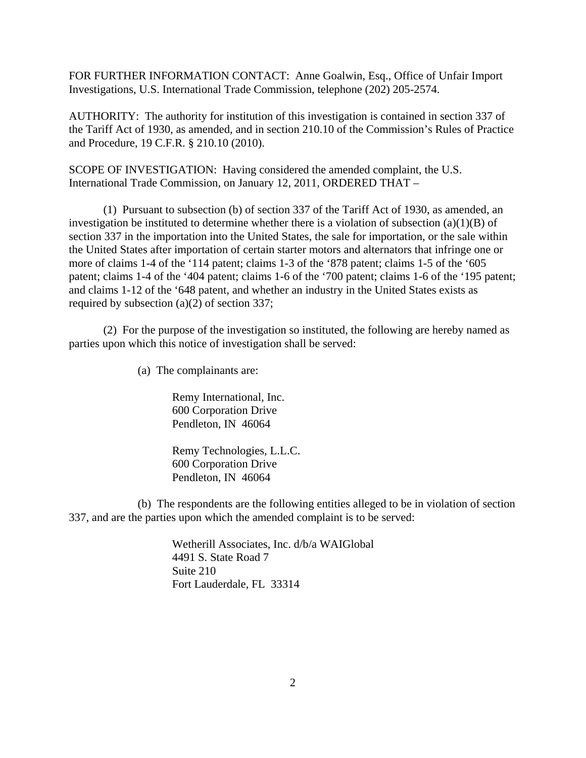FOR FURTHER INFORMATION CONTACT: Anne Goalwin, Esq., Office of Unfair Import Investigations, U.S. International Trade Commission, telephone (202) 205-2574.

AUTHORITY: The authority for institution of this investigation is contained in section 337 of the Tariff Act of 1930, as amended, and in section 210.10 of the Commission's Rules of Practice and Procedure, 19 C.F.R. § 210.10 (2010).

SCOPE OF INVESTIGATION: Having considered the amended complaint, the U.S. International Trade Commission, on January 12, 2011, ORDERED THAT –

(1) Pursuant to subsection (b) of section 337 of the Tariff Act of 1930, as amended, an investigation be instituted to determine whether there is a violation of subsection (a)(1)(B) of section 337 in the importation into the United States, the sale for importation, or the sale within the United States after importation of certain starter motors and alternators that infringe one or more of claims 1-4 of the '114 patent; claims 1-3 of the '878 patent; claims 1-5 of the '605 patent; claims 1-4 of the '404 patent; claims 1-6 of the '700 patent; claims 1-6 of the '195 patent; and claims 1-12 of the '648 patent, and whether an industry in the United States exists as required by subsection (a)(2) of section 337;

(2) For the purpose of the investigation so instituted, the following are hereby named as parties upon which this notice of investigation shall be served:

(a) The complainants are:

Remy International, Inc. 600 Corporation Drive Pendleton, IN 46064

Remy Technologies, L.L.C. 600 Corporation Drive Pendleton, IN 46064

(b) The respondents are the following entities alleged to be in violation of section 337, and are the parties upon which the amended complaint is to be served:

> Wetherill Associates, Inc. d/b/a WAIGlobal 4491 S. State Road 7 Suite 210 Fort Lauderdale, FL 33314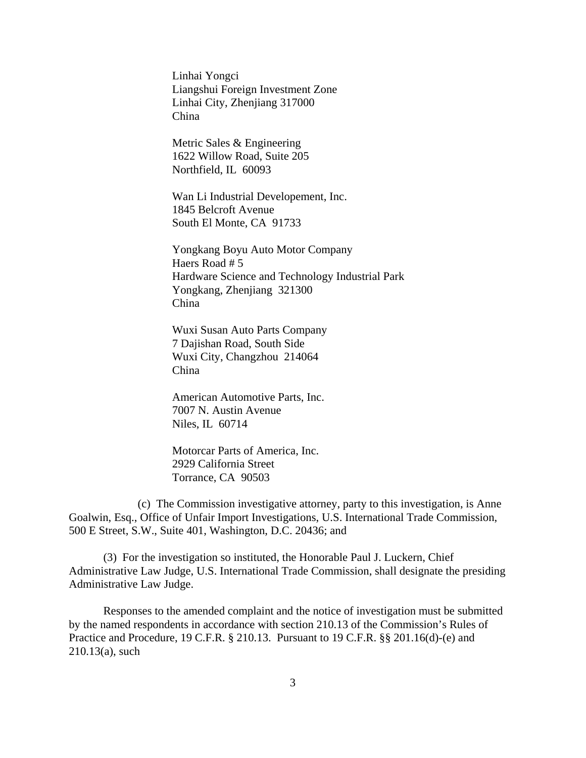Linhai Yongci Liangshui Foreign Investment Zone Linhai City, Zhenjiang 317000 China

Metric Sales & Engineering 1622 Willow Road, Suite 205 Northfield, IL 60093

Wan Li Industrial Developement, Inc. 1845 Belcroft Avenue South El Monte, CA 91733

Yongkang Boyu Auto Motor Company Haers Road # 5 Hardware Science and Technology Industrial Park Yongkang, Zhenjiang 321300 China

Wuxi Susan Auto Parts Company 7 Dajishan Road, South Side Wuxi City, Changzhou 214064 China

American Automotive Parts, Inc. 7007 N. Austin Avenue Niles, IL 60714

Motorcar Parts of America, Inc. 2929 California Street Torrance, CA 90503

(c) The Commission investigative attorney, party to this investigation, is Anne Goalwin, Esq., Office of Unfair Import Investigations, U.S. International Trade Commission, 500 E Street, S.W., Suite 401, Washington, D.C. 20436; and

(3) For the investigation so instituted, the Honorable Paul J. Luckern, Chief Administrative Law Judge, U.S. International Trade Commission, shall designate the presiding Administrative Law Judge.

Responses to the amended complaint and the notice of investigation must be submitted by the named respondents in accordance with section 210.13 of the Commission's Rules of Practice and Procedure, 19 C.F.R. § 210.13. Pursuant to 19 C.F.R. §§ 201.16(d)-(e) and 210.13(a), such